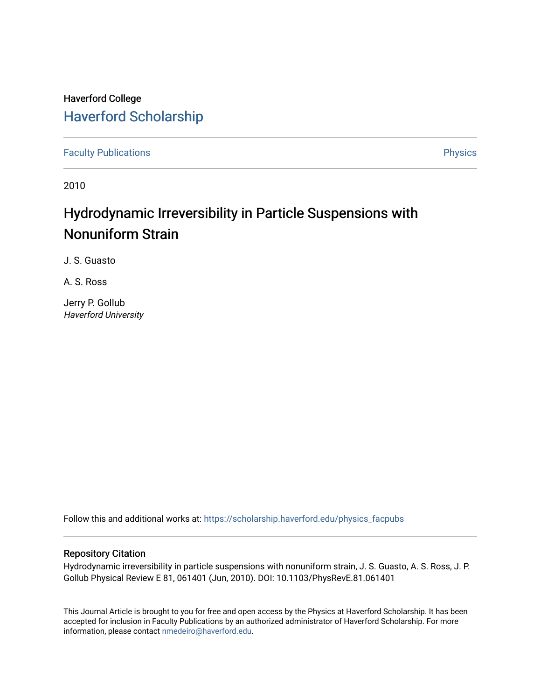# Haverford College [Haverford Scholarship](https://scholarship.haverford.edu/)

[Faculty Publications](https://scholarship.haverford.edu/physics_facpubs) **Physics** 

2010

# Hydrodynamic Irreversibility in Particle Suspensions with Nonuniform Strain

J. S. Guasto

A. S. Ross

Jerry P. Gollub Haverford University

Follow this and additional works at: [https://scholarship.haverford.edu/physics\\_facpubs](https://scholarship.haverford.edu/physics_facpubs?utm_source=scholarship.haverford.edu%2Fphysics_facpubs%2F338&utm_medium=PDF&utm_campaign=PDFCoverPages) 

# Repository Citation

Hydrodynamic irreversibility in particle suspensions with nonuniform strain, J. S. Guasto, A. S. Ross, J. P. Gollub Physical Review E 81, 061401 (Jun, 2010). DOI: 10.1103/PhysRevE.81.061401

This Journal Article is brought to you for free and open access by the Physics at Haverford Scholarship. It has been accepted for inclusion in Faculty Publications by an authorized administrator of Haverford Scholarship. For more information, please contact [nmedeiro@haverford.edu.](mailto:nmedeiro@haverford.edu)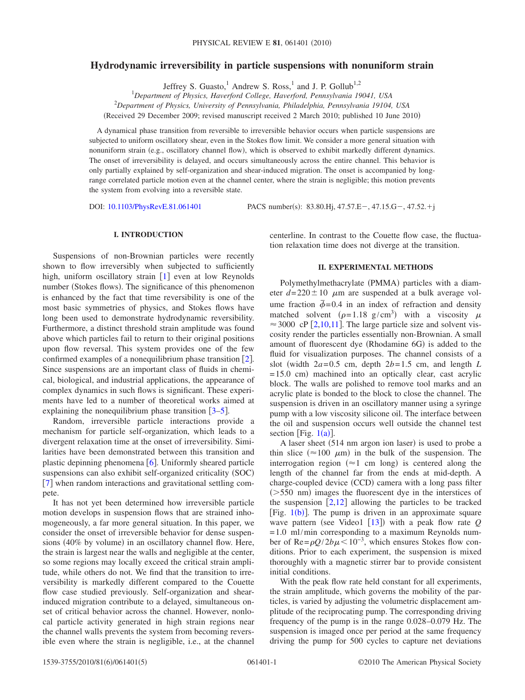# **Hydrodynamic irreversibility in particle suspensions with nonuniform strain**

Jeffrey S. Guasto,<sup>1</sup> Andrew S. Ross,<sup>1</sup> and J. P. Gollub<sup>1,2</sup>

1 *Department of Physics, Haverford College, Haverford, Pennsylvania 19041, USA* 2 *Department of Physics, University of Pennsylvania, Philadelphia, Pennsylvania 19104, USA*

Received 29 December 2009; revised manuscript received 2 March 2010; published 10 June 2010-

A dynamical phase transition from reversible to irreversible behavior occurs when particle suspensions are subjected to uniform oscillatory shear, even in the Stokes flow limit. We consider a more general situation with nonuniform strain (e.g., oscillatory channel flow), which is observed to exhibit markedly different dynamics. The onset of irreversibility is delayed, and occurs simultaneously across the entire channel. This behavior is only partially explained by self-organization and shear-induced migration. The onset is accompanied by longrange correlated particle motion even at the channel center, where the strain is negligible; this motion prevents the system from evolving into a reversible state.

DOI: [10.1103/PhysRevE.81.061401](http://dx.doi.org/10.1103/PhysRevE.81.061401)

: 83.80.Hj, 47.57.E-, 47.15.G-, 47.52.+j

# **I. INTRODUCTION**

Suspensions of non-Brownian particles were recently shown to flow irreversibly when subjected to sufficiently high, uniform oscillatory strain  $[1]$  $[1]$  $[1]$  even at low Reynolds number (Stokes flows). The significance of this phenomenon is enhanced by the fact that time reversibility is one of the most basic symmetries of physics, and Stokes flows have long been used to demonstrate hydrodynamic reversibility. Furthermore, a distinct threshold strain amplitude was found above which particles fail to return to their original positions upon flow reversal. This system provides one of the few confirmed examples of a nonequilibrium phase transition  $[2]$  $[2]$  $[2]$ . Since suspensions are an important class of fluids in chemical, biological, and industrial applications, the appearance of complex dynamics in such flows is significant. These experiments have led to a number of theoretical works aimed at explaining the nonequilibrium phase transition  $\left[3\text{-}5\right]$  $\left[3\text{-}5\right]$  $\left[3\text{-}5\right]$ .

Random, irreversible particle interactions provide a mechanism for particle self-organization, which leads to a divergent relaxation time at the onset of irreversibility. Similarities have been demonstrated between this transition and plastic depinning phenomena  $\lceil 6 \rceil$  $\lceil 6 \rceil$  $\lceil 6 \rceil$ . Uniformly sheared particle suspensions can also exhibit self-organized criticality (SOC) [[7](#page-4-5)] when random interactions and gravitational settling compete.

It has not yet been determined how irreversible particle motion develops in suspension flows that are strained inhomogeneously, a far more general situation. In this paper, we consider the onset of irreversible behavior for dense suspensions (40% by volume) in an oscillatory channel flow. Here, the strain is largest near the walls and negligible at the center, so some regions may locally exceed the critical strain amplitude, while others do not. We find that the transition to irreversibility is markedly different compared to the Couette flow case studied previously. Self-organization and shearinduced migration contribute to a delayed, simultaneous onset of critical behavior across the channel. However, nonlocal particle activity generated in high strain regions near the channel walls prevents the system from becoming reversible even where the strain is negligible, i.e., at the channel centerline. In contrast to the Couette flow case, the fluctuation relaxation time does not diverge at the transition.

#### **II. EXPERIMENTAL METHODS**

Polymethylmethacrylate (PMMA) particles with a diameter  $d=220\pm10$   $\mu$ m are suspended at a bulk average volume fraction  $\bar{\phi}$ =0.4 in an index of refraction and density matched solvent ( $\rho = 1.18$  g/cm<sup>3</sup>) with a viscosity  $\mu$  $\approx$  3000 cP [[2,](#page-4-1)[10,](#page-4-6)[11](#page-4-7)]. The large particle size and solvent viscosity render the particles essentially non-Brownian. A small amount of fluorescent dye (Rhodamine 6G) is added to the fluid for visualization purposes. The channel consists of a slot (width  $2a=0.5$  cm, depth  $2b=1.5$  cm, and length *L* = 15.0 cm) machined into an optically clear, cast acrylic block. The walls are polished to remove tool marks and an acrylic plate is bonded to the block to close the channel. The suspension is driven in an oscillatory manner using a syringe pump with a low viscosity silicone oil. The interface between the oil and suspension occurs well outside the channel test section [Fig.  $1(a)$  $1(a)$ ].

A laser sheet (514 nm argon ion laser) is used to probe a thin slice ( $\approx$ 100  $\mu$ m) in the bulk of the suspension. The interrogation region ( $\approx$ 1 cm long) is centered along the length of the channel far from the ends at mid-depth. A charge-coupled device (CCD) camera with a long pass filter  $($ >550 nm) images the fluorescent dye in the interstices of the suspension  $\lceil 2,12 \rceil$  $\lceil 2,12 \rceil$  $\lceil 2,12 \rceil$  $\lceil 2,12 \rceil$  allowing the particles to be tracked [Fig.  $1(b)$  $1(b)$ ]. The pump is driven in an approximate square wave pattern (see Video1  $[13]$  $[13]$  $[13]$ ) with a peak flow rate  $Q$  $= 1.0$  ml/min corresponding to a maximum Reynolds number of Re= $\rho Q/2b\mu$ <10<sup>-3</sup>, which ensures Stokes flow conditions. Prior to each experiment, the suspension is mixed thoroughly with a magnetic stirrer bar to provide consistent initial conditions.

With the peak flow rate held constant for all experiments, the strain amplitude, which governs the mobility of the particles, is varied by adjusting the volumetric displacement amplitude of the reciprocating pump. The corresponding driving frequency of the pump is in the range 0.028–0.079 Hz. The suspension is imaged once per period at the same frequency driving the pump for 500 cycles to capture net deviations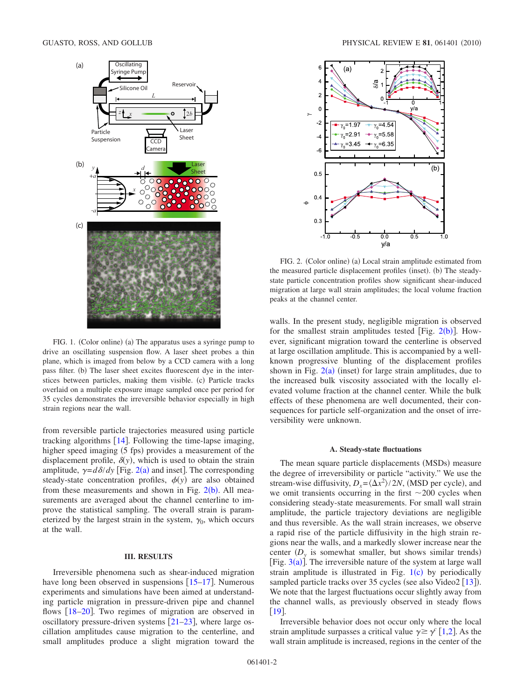<span id="page-2-0"></span>

FIG. 1. (Color online) (a) The apparatus uses a syringe pump to drive an oscillating suspension flow. A laser sheet probes a thin plane, which is imaged from below by a CCD camera with a long pass filter. (b) The laser sheet excites fluorescent dye in the interstices between particles, making them visible. (c) Particle tracks overlaid on a multiple exposure image sampled once per period for 35 cycles demonstrates the irreversible behavior especially in high strain regions near the wall.

from reversible particle trajectories measured using particle tracking algorithms  $[14]$  $[14]$  $[14]$ . Following the time-lapse imaging, higher speed imaging (5 fps) provides a measurement of the displacement profile,  $\delta(y)$ , which is used to obtain the strain amplitude,  $\gamma = d\delta/dy$  [Fig. [2](#page-2-1)(a) and inset]. The corresponding steady-state concentration profiles,  $\phi(y)$  are also obtained from these measurements and shown in Fig.  $2(b)$  $2(b)$ . All measurements are averaged about the channel centerline to improve the statistical sampling. The overall strain is parameterized by the largest strain in the system,  $\gamma_0$ , which occurs at the wall.

## **III. RESULTS**

Irreversible phenomena such as shear-induced migration have long been observed in suspensions  $[15-17]$  $[15-17]$  $[15-17]$ . Numerous experiments and simulations have been aimed at understanding particle migration in pressure-driven pipe and channel flows  $[18–20]$  $[18–20]$  $[18–20]$  $[18–20]$ . Two regimes of migration are observed in oscillatory pressure-driven systems  $[21-23]$  $[21-23]$  $[21-23]$ , where large oscillation amplitudes cause migration to the centerline, and small amplitudes produce a slight migration toward the

<span id="page-2-1"></span>

FIG. 2. (Color online) (a) Local strain amplitude estimated from the measured particle displacement profiles (inset). (b) The steadystate particle concentration profiles show significant shear-induced migration at large wall strain amplitudes; the local volume fraction peaks at the channel center.

walls. In the present study, negligible migration is observed for the smallest strain amplitudes tested [Fig.  $2(b)$  $2(b)$  $2(b)$ ]. However, significant migration toward the centerline is observed at large oscillation amplitude. This is accompanied by a wellknown progressive blunting of the displacement profiles shown in Fig.  $2(a)$  $2(a)$  (inset) for large strain amplitudes, due to the increased bulk viscosity associated with the locally elevated volume fraction at the channel center. While the bulk effects of these phenomena are well documented, their consequences for particle self-organization and the onset of irreversibility were unknown.

#### **A. Steady-state fluctuations**

The mean square particle displacements (MSDs) measure the degree of irreversibility or particle "activity." We use the stream-wise diffusivity,  $D_x = \langle \Delta x^2 \rangle / 2N$ , (MSD per cycle), and we omit transients occurring in the first  $\sim$  200 cycles when considering steady-state measurements. For small wall strain amplitude, the particle trajectory deviations are negligible and thus reversible. As the wall strain increases, we observe a rapid rise of the particle diffusivity in the high strain regions near the walls, and a markedly slower increase near the center  $(D_y)$  is somewhat smaller, but shows similar trends) [Fig.  $3(a)$  $3(a)$ ]. The irreversible nature of the system at large wall strain amplitude is illustrated in Fig.  $1(c)$  $1(c)$  by periodically sampled particle tracks over 35 cycles (see also Video2 [[13](#page-4-9)]). We note that the largest fluctuations occur slightly away from the channel walls, as previously observed in steady flows [[19](#page-5-6)].

Irreversible behavior does not occur only where the local strain amplitude surpasses a critical value  $\gamma \ge \gamma$  [[1](#page-4-0)[,2](#page-4-1)]. As the wall strain amplitude is increased, regions in the center of the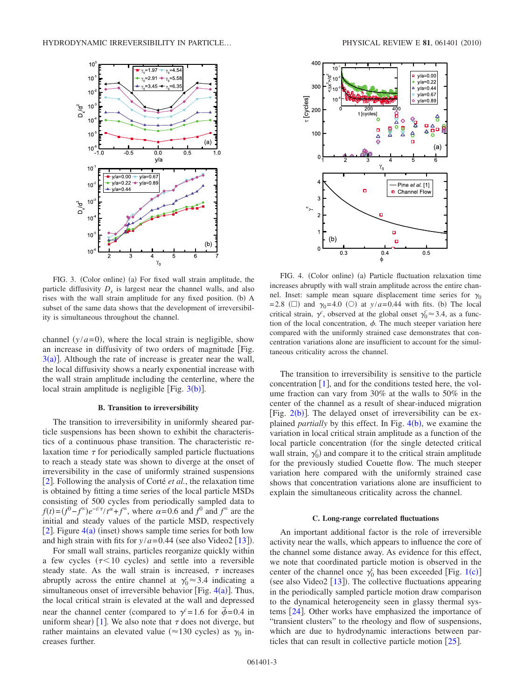<span id="page-3-0"></span>

FIG. 3. (Color online) (a) For fixed wall strain amplitude, the particle diffusivity  $D_x$  is largest near the channel walls, and also rises with the wall strain amplitude for any fixed position. (b) A subset of the same data shows that the development of irreversibility is simultaneous throughout the channel.

channel  $(y/a=0)$ , where the local strain is negligible, show an increase in diffusivity of two orders of magnitude Fig.  $3(a)$  $3(a)$ ]. Although the rate of increase is greater near the wall, the local diffusivity shows a nearly exponential increase with the wall strain amplitude including the centerline, where the local strain amplitude is negligible [Fig.  $3(b)$  $3(b)$ ].

#### **B. Transition to irreversibility**

The transition to irreversibility in uniformly sheared particle suspensions has been shown to exhibit the characteristics of a continuous phase transition. The characteristic relaxation time  $\tau$  for periodically sampled particle fluctuations to reach a steady state was shown to diverge at the onset of irreversibility in the case of uniformly strained suspensions [2](#page-4-1). Following the analysis of Corté *et al.*, the relaxation time is obtained by fitting a time series of the local particle MSDs consisting of 500 cycles from periodically sampled data to  $f(t) = (f^0 - f^{\infty})e^{-t/\tau}/t^{\alpha} + f^{\infty}$ , where  $\alpha = 0.6$  and  $f^0$  and  $f^{\infty}$  are the initial and steady values of the particle MSD, respectively [[2](#page-4-1)]. Figure  $4(a)$  $4(a)$  (inset) shows sample time series for both low and high strain with fits for  $y/a = 0.44$  (see also Video2 [[13](#page-4-9)]).

For small wall strains, particles reorganize quickly within a few cycles  $(\tau < 10$  cycles) and settle into a reversible steady state. As the wall strain is increased,  $\tau$  increases abruptly across the entire channel at  $\gamma_0^c \approx 3.4$  indicating a simultaneous onset of irreversible behavior [Fig.  $4(a)$  $4(a)$ ]. Thus, the local critical strain is elevated at the wall and depressed near the channel center (compared to  $\gamma = 1.6$  for  $\bar{\phi} = 0.4$  in uniform shear) [[1](#page-4-0)]. We also note that  $\tau$  does not diverge, but rather maintains an elevated value ( $\approx$ 130 cycles) as  $\gamma_0$  increases further.

<span id="page-3-1"></span>

FIG. 4. (Color online) (a) Particle fluctuation relaxation time increases abruptly with wall strain amplitude across the entire channel. Inset: sample mean square displacement time series for  $\gamma_0$  $= 2.8$  ( $\square$ ) and  $\gamma_0 = 4.0$  ( $\square$ ) at  $y/a = 0.44$  with fits. (b) The local critical strain,  $\gamma^c$ , observed at the global onset  $\gamma_0^c \approx 3.4$ , as a function of the local concentration,  $\phi$ . The much steeper variation here compared with the uniformly strained case demonstrates that concentration variations alone are insufficient to account for the simultaneous criticality across the channel.

The transition to irreversibility is sensitive to the particle concentration  $[1]$  $[1]$  $[1]$ , and for the conditions tested here, the volume fraction can vary from 30% at the walls to 50% in the center of the channel as a result of shear-induced migration [Fig.  $2(b)$  $2(b)$ ]. The delayed onset of irreversibility can be explained *partially* by this effect. In Fig. [4](#page-3-1)(b), we examine the variation in local critical strain amplitude as a function of the local particle concentration (for the single detected critical wall strain,  $\gamma_0^c$  and compare it to the critical strain amplitude for the previously studied Couette flow. The much steeper variation here compared with the uniformly strained case shows that concentration variations alone are insufficient to explain the simultaneous criticality across the channel.

#### **C. Long-range correlated fluctuations**

An important additional factor is the role of irreversible activity near the walls, which appears to influence the core of the channel some distance away. As evidence for this effect, we note that coordinated particle motion is observed in the center of the channel once  $\gamma_0^c$  has been exceeded [Fig. [1](#page-2-0)(c)] (see also Video2  $[13]$  $[13]$  $[13]$ ). The collective fluctuations appearing in the periodically sampled particle motion draw comparison to the dynamical heterogeneity seen in glassy thermal systems  $[24]$  $[24]$  $[24]$ . Other works have emphasized the importance of "transient clusters" to the rheology and flow of suspensions, which are due to hydrodynamic interactions between particles that can result in collective particle motion  $[25]$  $[25]$  $[25]$ .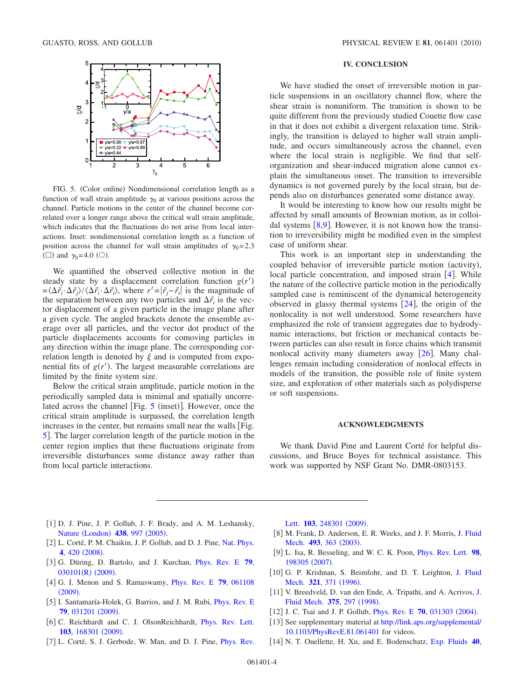<span id="page-4-11"></span>

FIG. 5. (Color online) Nondimensional correlation length as a function of wall strain amplitude  $\gamma_0$  at various positions across the channel. Particle motions in the center of the channel become correlated over a longer range above the critical wall strain amplitude, which indicates that the fluctuations do not arise from local interactions. Inset: nondimensional correlation length as a function of position across the channel for wall strain amplitudes of  $\gamma_0 = 2.3$ ( $\square$ ) and  $\gamma_0$ =4.0 ( $\odot$ ).

We quantified the observed collective motion in the steady state by a displacement correlation function  $g(r')$  $=\langle \Delta \vec{r}_i \cdot \Delta \vec{r}_j \rangle / \langle \Delta \vec{r}_i \cdot \Delta \vec{r}_i \rangle$ , where  $r' = |\vec{r}_j - \vec{r}_i|$  is the magnitude of the separation between any two particles and  $\Delta \vec{r}_i$  is the vector displacement of a given particle in the image plane after a given cycle. The angled brackets denote the ensemble average over all particles, and the vector dot product of the particle displacements accounts for comoving particles in any direction within the image plane. The corresponding correlation length is denoted by  $\xi$  and is computed from exponential fits of  $g(r')$ . The largest measurable correlations are limited by the finite system size.

Below the critical strain amplitude, particle motion in the periodically sampled data is minimal and spatially uncorrelated across the channel [Fig.  $5$  (inset)]. However, once the critical strain amplitude is surpassed, the correlation length increases in the center, but remains small near the walls [Fig. [5](#page-4-11). The larger correlation length of the particle motion in the center region implies that these fluctuations originate from irreversible disturbances some distance away rather than from local particle interactions.

### **IV. CONCLUSION**

We have studied the onset of irreversible motion in particle suspensions in an oscillatory channel flow, where the shear strain is nonuniform. The transition is shown to be quite different from the previously studied Couette flow case in that it does not exhibit a divergent relaxation time. Strikingly, the transition is delayed to higher wall strain amplitude, and occurs simultaneously across the channel, even where the local strain is negligible. We find that selforganization and shear-induced migration alone cannot explain the simultaneous onset. The transition to irreversible dynamics is not governed purely by the local strain, but depends also on disturbances generated some distance away.

It would be interesting to know how our results might be affected by small amounts of Brownian motion, as in colloidal systems  $\lceil 8, 9 \rceil$  $\lceil 8, 9 \rceil$  $\lceil 8, 9 \rceil$ . However, it is not known how the transition to irreversibility might be modified even in the simplest case of uniform shear.

This work is an important step in understanding the coupled behavior of irreversible particle motion (activity), local particle concentration, and imposed strain  $[4]$  $[4]$  $[4]$ . While the nature of the collective particle motion in the periodically sampled case is reminiscent of the dynamical heterogeneity observed in glassy thermal systems  $[24]$  $[24]$  $[24]$ , the origin of the nonlocality is not well understood. Some researchers have emphasized the role of transient aggregates due to hydrodynamic interactions, but friction or mechanical contacts between particles can also result in force chains which transmit nonlocal activity many diameters away [[26](#page-5-9)]. Many challenges remain including consideration of nonlocal effects in models of the transition, the possible role of finite system size, and exploration of other materials such as polydisperse or soft suspensions.

#### **ACKNOWLEDGMENTS**

We thank David Pine and Laurent Corté for helpful discussions, and Bruce Boyes for technical assistance. This work was supported by NSF Grant No. DMR-0803153.

- <span id="page-4-0"></span>[1] D. J. Pine, J. P. Gollub, J. F. Brady, and A. M. Leshansky, Nature ([London](http://dx.doi.org/10.1038/nature04380)) 438, 997 (2005).
- <span id="page-4-1"></span>[2] L. Corté, P. M. Chaikin, J. P. Gollub, and D. J. Pine, [Nat. Phys.](http://dx.doi.org/10.1038/nphys891) **4**[, 420](http://dx.doi.org/10.1038/nphys891) (2008).
- <span id="page-4-2"></span>3 G. Düring, D. Bartolo, and J. Kurchan, [Phys. Rev. E](http://dx.doi.org/10.1103/PhysRevE.79.030101) **79**, [030101](http://dx.doi.org/10.1103/PhysRevE.79.030101)(R) (2009).
- <span id="page-4-14"></span>4 G. I. Menon and S. Ramaswamy, [Phys. Rev. E](http://dx.doi.org/10.1103/PhysRevE.79.061108) **79**, 061108  $(2009).$  $(2009).$  $(2009).$
- <span id="page-4-3"></span>[5] I. Santamaría-Holek, G. Barrios, and J. M. Rubi, *[Phys. Rev. E](http://dx.doi.org/10.1103/PhysRevE.79.031201)* **79**[, 031201](http://dx.doi.org/10.1103/PhysRevE.79.031201) (2009).
- <span id="page-4-4"></span>[6] C. Reichhardt and C. J. OlsonReichhardt, [Phys. Rev. Lett.](http://dx.doi.org/10.1103/PhysRevLett.103.168301) 103[, 168301](http://dx.doi.org/10.1103/PhysRevLett.103.168301) (2009).
- <span id="page-4-5"></span>[7] L. Corté, S. J. Gerbode, W. Man, and D. J. Pine, *[Phys. Rev.](http://dx.doi.org/10.1103/PhysRevLett.103.248301)*

Lett. **103**[, 248301](http://dx.doi.org/10.1103/PhysRevLett.103.248301) (2009).

- <span id="page-4-12"></span>[8] M. Frank, D. Anderson, E. R. Weeks, and J. F. Morris, [J. Fluid](http://dx.doi.org/10.1017/S0022112003006001) [Mech.](http://dx.doi.org/10.1017/S0022112003006001) 493, 363 (2003).
- <span id="page-4-13"></span>9 L. Isa, R. Besseling, and W. C. K. Poon, [Phys. Rev. Lett.](http://dx.doi.org/10.1103/PhysRevLett.98.198305) **98**, [198305](http://dx.doi.org/10.1103/PhysRevLett.98.198305) (2007).
- <span id="page-4-6"></span>[10] G. P. Krishnan, S. Beimfohr, and D. T. Leighton, [J. Fluid](http://dx.doi.org/10.1017/S0022112096007768) [Mech.](http://dx.doi.org/10.1017/S0022112096007768) 321, 371 (1996).
- <span id="page-4-7"></span>[11] V. Breedveld, D. van den Ende, A. Tripathi, and A. Acrivos, [J.](http://dx.doi.org/10.1017/S0022112098002808) [Fluid Mech.](http://dx.doi.org/10.1017/S0022112098002808) 375, 297 (1998).
- <span id="page-4-8"></span>[12] J. C. Tsai and J. P. Gollub, *[Phys. Rev. E](http://dx.doi.org/10.1103/PhysRevE.70.031303)* 70, 031303 (2004).
- <span id="page-4-9"></span>[13] See supplementary material at [http://link.aps.org/supplemental/](http://link.aps.org/supplemental/10.1103/PhysRevE.81.061401) [10.1103/PhysRevE.81.061401](http://link.aps.org/supplemental/10.1103/PhysRevE.81.061401) for videos.
- <span id="page-4-10"></span>14 N. T. Ouellette, H. Xu, and E. Bodenschatz, [Exp. Fluids](http://dx.doi.org/10.1007/s00348-005-0068-7) **40**,